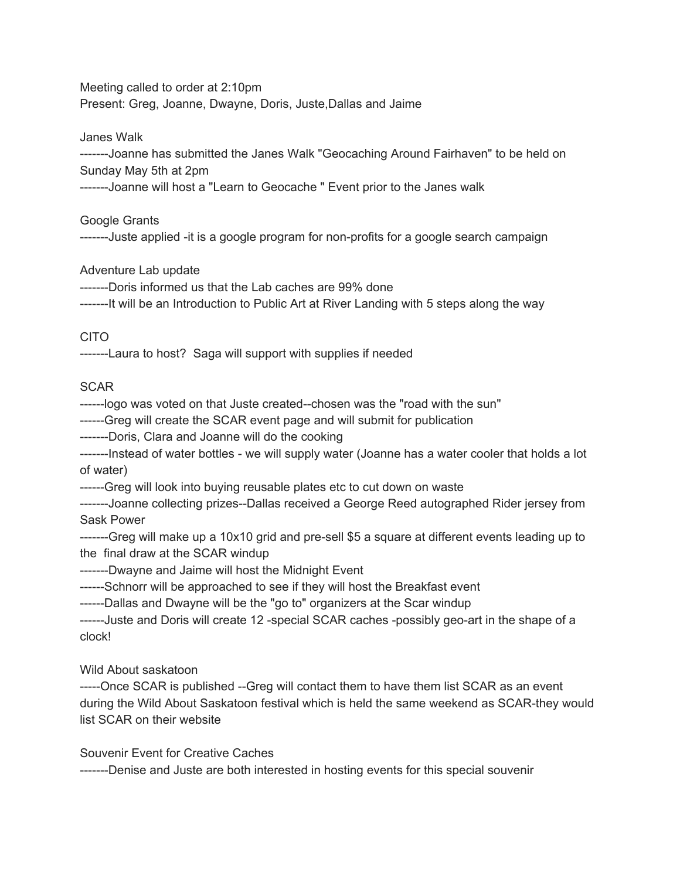Meeting called to order at 2:10pm Present: Greg, Joanne, Dwayne, Doris, Juste,Dallas and Jaime

Janes Walk

-------Joanne has submitted the Janes Walk "Geocaching Around Fairhaven" to be held on Sunday May 5th at 2pm

-------Joanne will host a "Learn to Geocache " Event prior to the Janes walk

Google Grants

-------Juste applied -it is a google program for non-profits for a google search campaign

Adventure Lab update

-------Doris informed us that the Lab caches are 99% done

-------It will be an Introduction to Public Art at River Landing with 5 steps along the way

## CITO

-------Laura to host? Saga will support with supplies if needed

## SCAR

------logo was voted on that Juste created--chosen was the "road with the sun"

------Greg will create the SCAR event page and will submit for publication

-------Doris, Clara and Joanne will do the cooking

-------Instead of water bottles - we will supply water (Joanne has a water cooler that holds a lot of water)

------Greg will look into buying reusable plates etc to cut down on waste

-------Joanne collecting prizes--Dallas received a George Reed autographed Rider jersey from Sask Power

-------Greg will make up a 10x10 grid and pre-sell \$5 a square at different events leading up to the final draw at the SCAR windup

-------Dwayne and Jaime will host the Midnight Event

------Schnorr will be approached to see if they will host the Breakfast event

------Dallas and Dwayne will be the "go to" organizers at the Scar windup

------Juste and Doris will create 12 -special SCAR caches -possibly geo-art in the shape of a clock!

Wild About saskatoon

-----Once SCAR is published --Greg will contact them to have them list SCAR as an event during the Wild About Saskatoon festival which is held the same weekend as SCAR-they would list SCAR on their website

Souvenir Event for Creative Caches

-------Denise and Juste are both interested in hosting events for this special souvenir